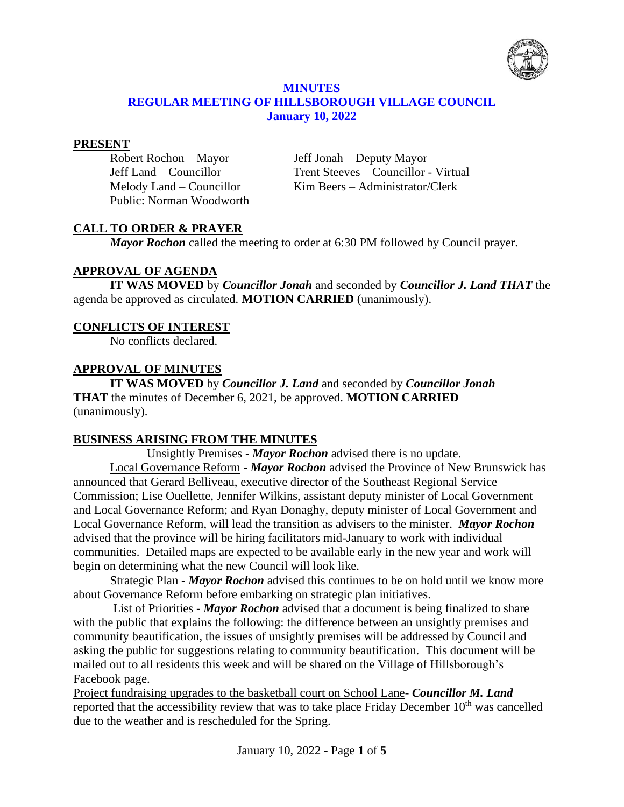

#### **MINUTES REGULAR MEETING OF HILLSBOROUGH VILLAGE COUNCIL January 10, 2022**

#### **PRESENT**

Public: Norman Woodworth

Robert Rochon – Mayor Jeff Jonah – Deputy Mayor Jeff Land – Councillor Trent Steeves – Councillor - Virtual Melody Land – Councillor Kim Beers – Administrator/Clerk

# **CALL TO ORDER & PRAYER**

*Mayor Rochon* called the meeting to order at 6:30 PM followed by Council prayer.

# **APPROVAL OF AGENDA**

**IT WAS MOVED** by *Councillor Jonah* and seconded by *Councillor J. Land THAT* the agenda be approved as circulated. **MOTION CARRIED** (unanimously).

# **CONFLICTS OF INTEREST**

No conflicts declared.

## **APPROVAL OF MINUTES**

**IT WAS MOVED** by *Councillor J. Land* and seconded by *Councillor Jonah* **THAT** the minutes of December 6, 2021, be approved. **MOTION CARRIED** (unanimously).

# **BUSINESS ARISING FROM THE MINUTES**

Unsightly Premises - *Mayor Rochon* advised there is no update.

Local Governance Reform *- Mayor Rochon* advised the Province of New Brunswick has announced that Gerard Belliveau, executive director of the Southeast Regional Service Commission; Lise Ouellette, Jennifer Wilkins, assistant deputy minister of Local Government and Local Governance Reform; and Ryan Donaghy, deputy minister of Local Government and Local Governance Reform, will lead the transition as advisers to the minister. *Mayor Rochon* advised that the province will be hiring facilitators mid-January to work with individual communities. Detailed maps are expected to be available early in the new year and work will begin on determining what the new Council will look like.

Strategic Plan - *Mayor Rochon* advised this continues to be on hold until we know more about Governance Reform before embarking on strategic plan initiatives.

List of Priorities - *Mayor Rochon* advised that a document is being finalized to share with the public that explains the following: the difference between an unsightly premises and community beautification, the issues of unsightly premises will be addressed by Council and asking the public for suggestions relating to community beautification. This document will be mailed out to all residents this week and will be shared on the Village of Hillsborough's Facebook page.

Project fundraising upgrades to the basketball court on School Lane- *Councillor M. Land*  reported that the accessibility review that was to take place Friday December  $10<sup>th</sup>$  was cancelled due to the weather and is rescheduled for the Spring.

January 10, 2022 - Page **1** of **5**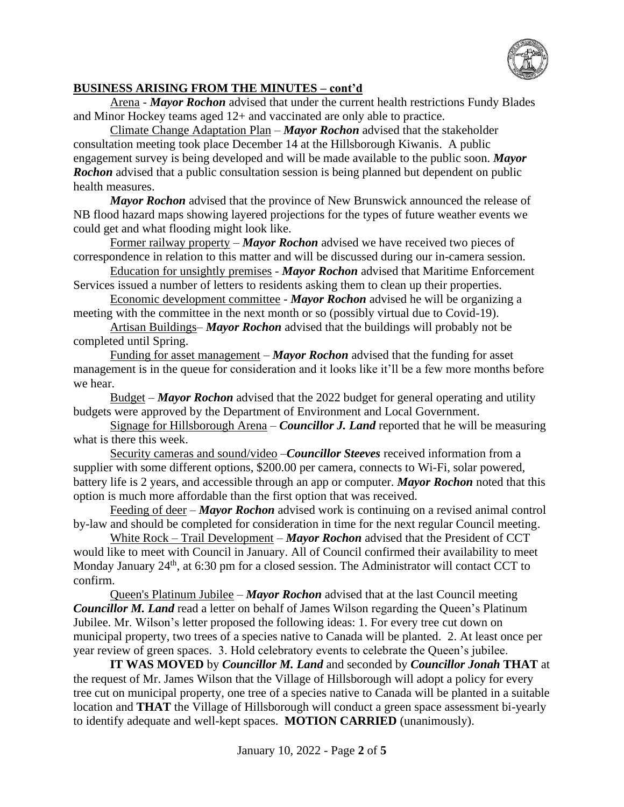

## **BUSINESS ARISING FROM THE MINUTES – cont'd**

Arena - *Mayor Rochon* advised that under the current health restrictions Fundy Blades and Minor Hockey teams aged 12+ and vaccinated are only able to practice.

Climate Change Adaptation Plan – *Mayor Rochon* advised that the stakeholder consultation meeting took place December 14 at the Hillsborough Kiwanis. A public engagement survey is being developed and will be made available to the public soon. *Mayor*  **Rochon** advised that a public consultation session is being planned but dependent on public health measures.

*Mayor Rochon* advised that the province of New Brunswick announced the release of NB flood hazard maps showing layered projections for the types of future weather events we could get and what flooding might look like.

Former railway property – *Mayor Rochon* advised we have received two pieces of correspondence in relation to this matter and will be discussed during our in-camera session.

Education for unsightly premises - *Mayor Rochon* advised that Maritime Enforcement Services issued a number of letters to residents asking them to clean up their properties.

Economic development committee - *Mayor Rochon* advised he will be organizing a meeting with the committee in the next month or so (possibly virtual due to Covid-19).

Artisan Buildings– *Mayor Rochon* advised that the buildings will probably not be completed until Spring.

Funding for asset management – *Mayor Rochon* advised that the funding for asset management is in the queue for consideration and it looks like it'll be a few more months before we hear.

Budget – *Mayor Rochon* advised that the 2022 budget for general operating and utility budgets were approved by the Department of Environment and Local Government.

Signage for Hillsborough Arena – *Councillor J. Land* reported that he will be measuring what is there this week.

Security cameras and sound/video –*Councillor Steeves* received information from a supplier with some different options, \$200.00 per camera, connects to Wi-Fi, solar powered, battery life is 2 years, and accessible through an app or computer. *Mayor Rochon* noted that this option is much more affordable than the first option that was received.

Feeding of deer – *Mayor Rochon* advised work is continuing on a revised animal control by-law and should be completed for consideration in time for the next regular Council meeting.

White Rock – Trail Development – *Mayor Rochon* advised that the President of CCT would like to meet with Council in January. All of Council confirmed their availability to meet Monday January 24<sup>th</sup>, at 6:30 pm for a closed session. The Administrator will contact CCT to confirm.

Queen's Platinum Jubilee – *Mayor Rochon* advised that at the last Council meeting *Councillor M. Land* read a letter on behalf of James Wilson regarding the Queen's Platinum Jubilee. Mr. Wilson's letter proposed the following ideas: 1. For every tree cut down on municipal property, two trees of a species native to Canada will be planted. 2. At least once per year review of green spaces. 3. Hold celebratory events to celebrate the Queen's jubilee.

**IT WAS MOVED** by *Councillor M. Land* and seconded by *Councillor Jonah* **THAT** at the request of Mr. James Wilson that the Village of Hillsborough will adopt a policy for every tree cut on municipal property, one tree of a species native to Canada will be planted in a suitable location and **THAT** the Village of Hillsborough will conduct a green space assessment bi-yearly to identify adequate and well-kept spaces. **MOTION CARRIED** (unanimously).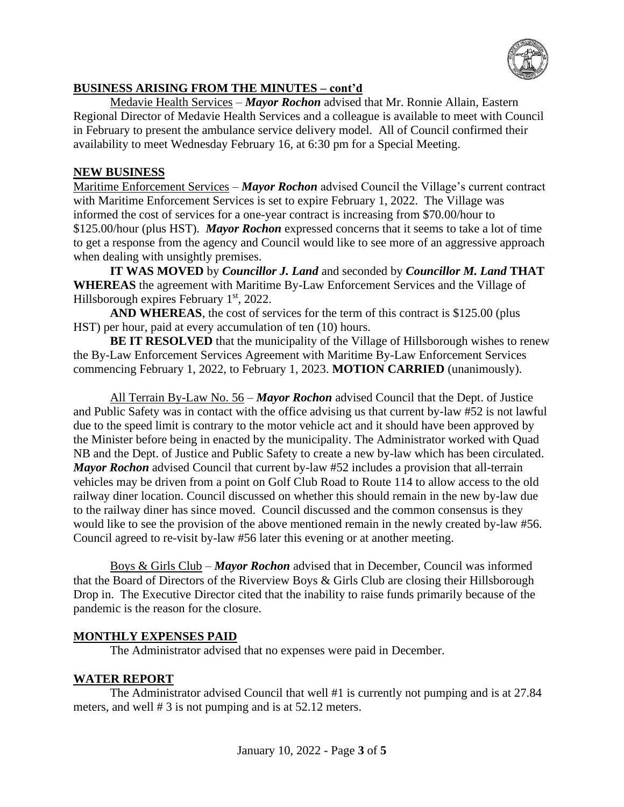

## **BUSINESS ARISING FROM THE MINUTES – cont'd**

Medavie Health Services – *Mayor Rochon* advised that Mr. Ronnie Allain, Eastern Regional Director of Medavie Health Services and a colleague is available to meet with Council in February to present the ambulance service delivery model. All of Council confirmed their availability to meet Wednesday February 16, at 6:30 pm for a Special Meeting.

## **NEW BUSINESS**

Maritime Enforcement Services – *Mayor Rochon* advised Council the Village's current contract with Maritime Enforcement Services is set to expire February 1, 2022. The Village was informed the cost of services for a one-year contract is increasing from \$70.00/hour to \$125.00/hour (plus HST). *Mayor Rochon* expressed concerns that it seems to take a lot of time to get a response from the agency and Council would like to see more of an aggressive approach when dealing with unsightly premises.

**IT WAS MOVED** by *Councillor J. Land* and seconded by *Councillor M. Land* **THAT WHEREAS** the agreement with Maritime By-Law Enforcement Services and the Village of Hillsborough expires February 1<sup>st</sup>, 2022.

**AND WHEREAS**, the cost of services for the term of this contract is \$125.00 (plus HST) per hour, paid at every accumulation of ten (10) hours.

**BE IT RESOLVED** that the municipality of the Village of Hillsborough wishes to renew the By-Law Enforcement Services Agreement with Maritime By-Law Enforcement Services commencing February 1, 2022, to February 1, 2023. **MOTION CARRIED** (unanimously).

All Terrain By-Law No. 56 – *Mayor Rochon* advised Council that the Dept. of Justice and Public Safety was in contact with the office advising us that current by-law #52 is not lawful due to the speed limit is contrary to the motor vehicle act and it should have been approved by the Minister before being in enacted by the municipality. The Administrator worked with Quad NB and the Dept. of Justice and Public Safety to create a new by-law which has been circulated. *Mayor Rochon* advised Council that current by-law #52 includes a provision that all-terrain vehicles may be driven from a point on Golf Club Road to Route 114 to allow access to the old railway diner location. Council discussed on whether this should remain in the new by-law due to the railway diner has since moved. Council discussed and the common consensus is they would like to see the provision of the above mentioned remain in the newly created by-law #56. Council agreed to re-visit by-law #56 later this evening or at another meeting.

Boys & Girls Club – *Mayor Rochon* advised that in December, Council was informed that the Board of Directors of the Riverview Boys & Girls Club are closing their Hillsborough Drop in. The Executive Director cited that the inability to raise funds primarily because of the pandemic is the reason for the closure.

## **MONTHLY EXPENSES PAID**

The Administrator advised that no expenses were paid in December.

## **WATER REPORT**

The Administrator advised Council that well #1 is currently not pumping and is at 27.84 meters, and well # 3 is not pumping and is at 52.12 meters.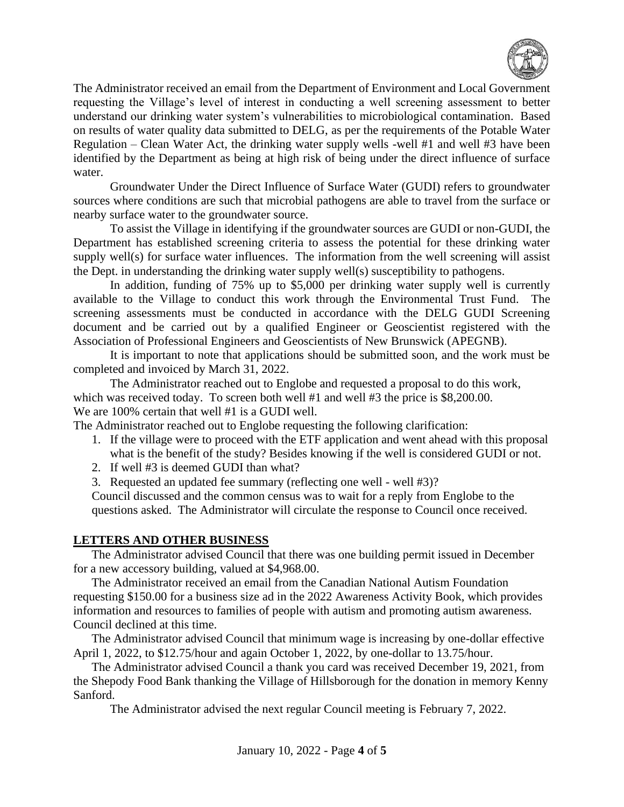

The Administrator received an email from the Department of Environment and Local Government requesting the Village's level of interest in conducting a well screening assessment to better understand our drinking water system's vulnerabilities to microbiological contamination. Based on results of water quality data submitted to DELG, as per the requirements of the Potable Water Regulation – Clean Water Act*,* the drinking water supply wells -well #1 and well #3 have been identified by the Department as being at high risk of being under the direct influence of surface water.

Groundwater Under the Direct Influence of Surface Water (GUDI) refers to groundwater sources where conditions are such that microbial pathogens are able to travel from the surface or nearby surface water to the groundwater source.

To assist the Village in identifying if the groundwater sources are GUDI or non-GUDI, the Department has established screening criteria to assess the potential for these drinking water supply well(s) for surface water influences. The information from the well screening will assist the Dept. in understanding the drinking water supply well(s) susceptibility to pathogens.

In addition, funding of 75% up to \$5,000 per drinking water supply well is currently available to the Village to conduct this work through the Environmental Trust Fund. The screening assessments must be conducted in accordance with the DELG GUDI Screening document and be carried out by a qualified Engineer or Geoscientist registered with the Association of Professional Engineers and Geoscientists of New Brunswick (APEGNB).

It is important to note that applications should be submitted soon, and the work must be completed and invoiced by March 31, 2022.

The Administrator reached out to Englobe and requested a proposal to do this work, which was received today. To screen both well #1 and well #3 the price is \$8,200.00. We are  $100\%$  certain that well #1 is a GUDI well.

The Administrator reached out to Englobe requesting the following clarification:

- 1. If the village were to proceed with the ETF application and went ahead with this proposal what is the benefit of the study? Besides knowing if the well is considered GUDI or not.
- 2. If well #3 is deemed GUDI than what?
- 3. Requested an updated fee summary (reflecting one well well #3)?

Council discussed and the common census was to wait for a reply from Englobe to the questions asked. The Administrator will circulate the response to Council once received.

## **LETTERS AND OTHER BUSINESS**

The Administrator advised Council that there was one building permit issued in December for a new accessory building, valued at \$4,968.00.

The Administrator received an email from the Canadian National Autism Foundation requesting \$150.00 for a business size ad in the 2022 Awareness Activity Book, which provides information and resources to families of people with autism and promoting autism awareness. Council declined at this time.

The Administrator advised Council that minimum wage is increasing by one-dollar effective April 1, 2022, to \$12.75/hour and again October 1, 2022, by one-dollar to 13.75/hour.

The Administrator advised Council a thank you card was received December 19, 2021, from the Shepody Food Bank thanking the Village of Hillsborough for the donation in memory Kenny Sanford.

The Administrator advised the next regular Council meeting is February 7, 2022.